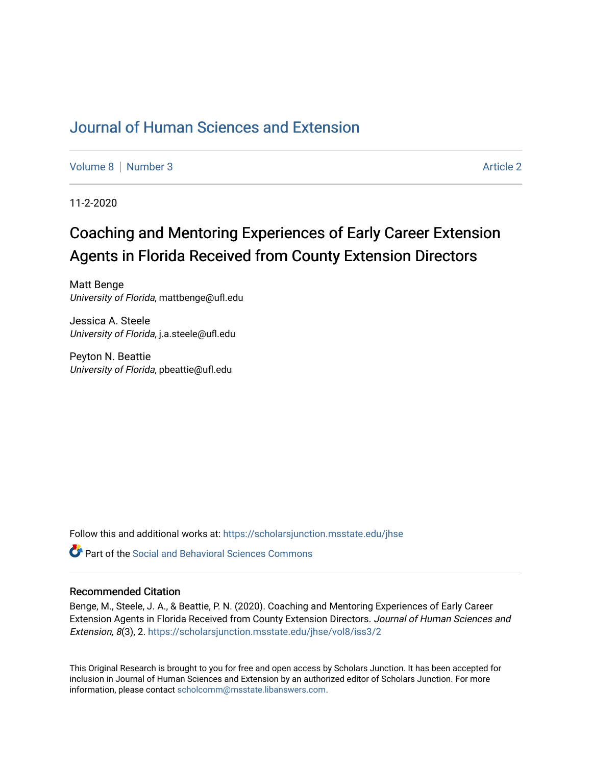## [Journal of Human Sciences and Extension](https://scholarsjunction.msstate.edu/jhse)

[Volume 8](https://scholarsjunction.msstate.edu/jhse/vol8) | [Number 3](https://scholarsjunction.msstate.edu/jhse/vol8/iss3) Article 2

11-2-2020

# Coaching and Mentoring Experiences of Early Career Extension Agents in Florida Received from County Extension Directors

Matt Benge University of Florida, mattbenge@ufl.edu

Jessica A. Steele University of Florida, j.a.steele@ufl.edu

Peyton N. Beattie University of Florida, pbeattie@ufl.edu

Follow this and additional works at: [https://scholarsjunction.msstate.edu/jhse](https://scholarsjunction.msstate.edu/jhse?utm_source=scholarsjunction.msstate.edu%2Fjhse%2Fvol8%2Fiss3%2F2&utm_medium=PDF&utm_campaign=PDFCoverPages)

 $\bullet$  Part of the Social and Behavioral Sciences Commons

#### Recommended Citation

Benge, M., Steele, J. A., & Beattie, P. N. (2020). Coaching and Mentoring Experiences of Early Career Extension Agents in Florida Received from County Extension Directors. Journal of Human Sciences and Extension, 8(3), 2. [https://scholarsjunction.msstate.edu/jhse/vol8/iss3/2](https://scholarsjunction.msstate.edu/jhse/vol8/iss3/2?utm_source=scholarsjunction.msstate.edu%2Fjhse%2Fvol8%2Fiss3%2F2&utm_medium=PDF&utm_campaign=PDFCoverPages) 

This Original Research is brought to you for free and open access by Scholars Junction. It has been accepted for inclusion in Journal of Human Sciences and Extension by an authorized editor of Scholars Junction. For more information, please contact [scholcomm@msstate.libanswers.com](mailto:scholcomm@msstate.libanswers.com).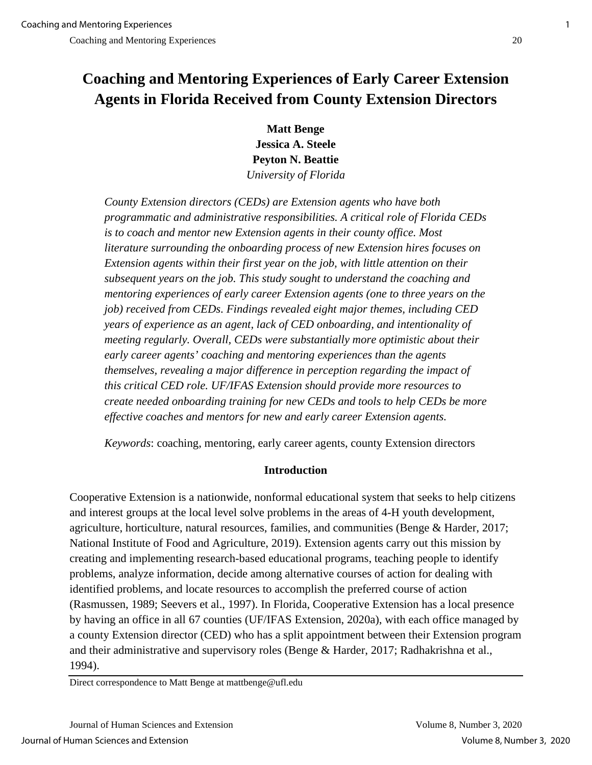# **Coaching and Mentoring Experiences of Early Career Extension Agents in Florida Received from County Extension Directors**

**Matt Benge Jessica A. Steele Peyton N. Beattie**  *University of Florida*

*County Extension directors (CEDs) are Extension agents who have both programmatic and administrative responsibilities. A critical role of Florida CEDs is to coach and mentor new Extension agents in their county office. Most literature surrounding the onboarding process of new Extension hires focuses on Extension agents within their first year on the job, with little attention on their subsequent years on the job. This study sought to understand the coaching and mentoring experiences of early career Extension agents (one to three years on the job) received from CEDs. Findings revealed eight major themes, including CED years of experience as an agent, lack of CED onboarding, and intentionality of meeting regularly. Overall, CEDs were substantially more optimistic about their early career agents' coaching and mentoring experiences than the agents themselves, revealing a major difference in perception regarding the impact of this critical CED role. UF/IFAS Extension should provide more resources to create needed onboarding training for new CEDs and tools to help CEDs be more effective coaches and mentors for new and early career Extension agents.* 

*Keywords*: coaching, mentoring, early career agents, county Extension directors

## **Introduction**

Cooperative Extension is a nationwide, nonformal educational system that seeks to help citizens and interest groups at the local level solve problems in the areas of 4-H youth development, agriculture, horticulture, natural resources, families, and communities (Benge & Harder, 2017; National Institute of Food and Agriculture, 2019). Extension agents carry out this mission by creating and implementing research-based educational programs, teaching people to identify problems, analyze information, decide among alternative courses of action for dealing with identified problems, and locate resources to accomplish the preferred course of action (Rasmussen, 1989; Seevers et al., 1997). In Florida, Cooperative Extension has a local presence by having an office in all 67 counties (UF/IFAS Extension, 2020a), with each office managed by a county Extension director (CED) who has a split appointment between their Extension program and their administrative and supervisory roles (Benge & Harder, 2017; Radhakrishna et al., 1994).

Direct correspondence to Matt Benge at mattbenge@ufl.edu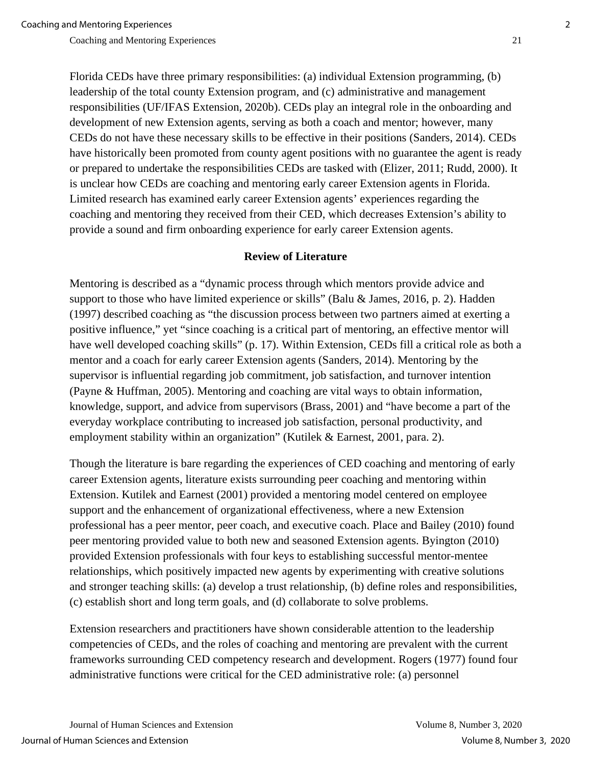Florida CEDs have three primary responsibilities: (a) individual Extension programming, (b) leadership of the total county Extension program, and (c) administrative and management responsibilities (UF/IFAS Extension, 2020b). CEDs play an integral role in the onboarding and development of new Extension agents, serving as both a coach and mentor; however, many CEDs do not have these necessary skills to be effective in their positions (Sanders, 2014). CEDs have historically been promoted from county agent positions with no guarantee the agent is ready or prepared to undertake the responsibilities CEDs are tasked with (Elizer, 2011; Rudd, 2000). It is unclear how CEDs are coaching and mentoring early career Extension agents in Florida. Limited research has examined early career Extension agents' experiences regarding the coaching and mentoring they received from their CED, which decreases Extension's ability to provide a sound and firm onboarding experience for early career Extension agents.

## **Review of Literature**

Mentoring is described as a "dynamic process through which mentors provide advice and support to those who have limited experience or skills" (Balu & James, 2016, p. 2). Hadden (1997) described coaching as "the discussion process between two partners aimed at exerting a positive influence," yet "since coaching is a critical part of mentoring, an effective mentor will have well developed coaching skills" (p. 17). Within Extension, CEDs fill a critical role as both a mentor and a coach for early career Extension agents (Sanders, 2014). Mentoring by the supervisor is influential regarding job commitment, job satisfaction, and turnover intention (Payne & Huffman, 2005). Mentoring and coaching are vital ways to obtain information, knowledge, support, and advice from supervisors (Brass, 2001) and "have become a part of the everyday workplace contributing to increased job satisfaction, personal productivity, and employment stability within an organization" (Kutilek & Earnest, 2001, para. 2).

Though the literature is bare regarding the experiences of CED coaching and mentoring of early career Extension agents, literature exists surrounding peer coaching and mentoring within Extension. Kutilek and Earnest (2001) provided a mentoring model centered on employee support and the enhancement of organizational effectiveness, where a new Extension professional has a peer mentor, peer coach, and executive coach. Place and Bailey (2010) found peer mentoring provided value to both new and seasoned Extension agents. Byington (2010) provided Extension professionals with four keys to establishing successful mentor-mentee relationships, which positively impacted new agents by experimenting with creative solutions and stronger teaching skills: (a) develop a trust relationship, (b) define roles and responsibilities, (c) establish short and long term goals, and (d) collaborate to solve problems.

Extension researchers and practitioners have shown considerable attention to the leadership competencies of CEDs, and the roles of coaching and mentoring are prevalent with the current frameworks surrounding CED competency research and development. Rogers (1977) found four administrative functions were critical for the CED administrative role: (a) personnel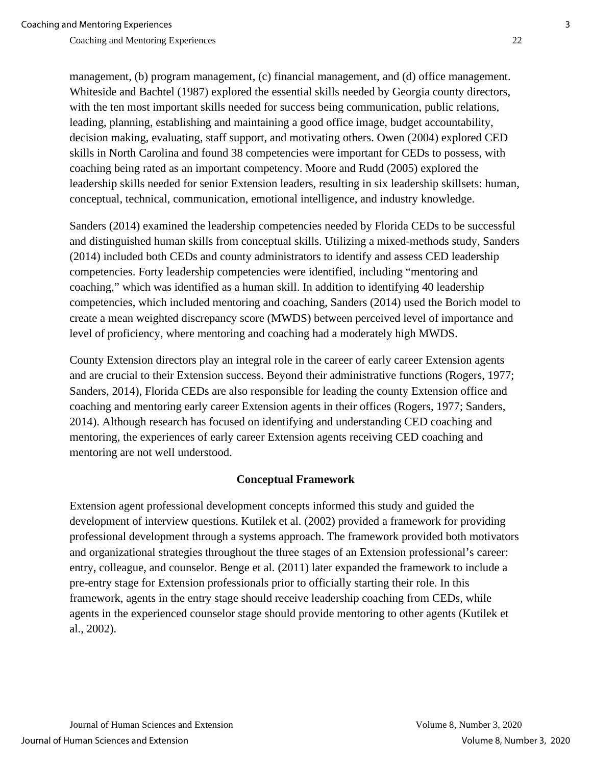management, (b) program management, (c) financial management, and (d) office management. Whiteside and Bachtel (1987) explored the essential skills needed by Georgia county directors,

with the ten most important skills needed for success being communication, public relations, leading, planning, establishing and maintaining a good office image, budget accountability, decision making, evaluating, staff support, and motivating others. Owen (2004) explored CED skills in North Carolina and found 38 competencies were important for CEDs to possess, with coaching being rated as an important competency. Moore and Rudd (2005) explored the leadership skills needed for senior Extension leaders, resulting in six leadership skillsets: human, conceptual, technical, communication, emotional intelligence, and industry knowledge.

Sanders (2014) examined the leadership competencies needed by Florida CEDs to be successful and distinguished human skills from conceptual skills. Utilizing a mixed-methods study, Sanders (2014) included both CEDs and county administrators to identify and assess CED leadership competencies. Forty leadership competencies were identified, including "mentoring and coaching," which was identified as a human skill. In addition to identifying 40 leadership competencies, which included mentoring and coaching, Sanders (2014) used the Borich model to create a mean weighted discrepancy score (MWDS) between perceived level of importance and level of proficiency, where mentoring and coaching had a moderately high MWDS.

County Extension directors play an integral role in the career of early career Extension agents and are crucial to their Extension success. Beyond their administrative functions (Rogers, 1977; Sanders, 2014), Florida CEDs are also responsible for leading the county Extension office and coaching and mentoring early career Extension agents in their offices (Rogers, 1977; Sanders, 2014). Although research has focused on identifying and understanding CED coaching and mentoring, the experiences of early career Extension agents receiving CED coaching and mentoring are not well understood.

## **Conceptual Framework**

Extension agent professional development concepts informed this study and guided the development of interview questions. Kutilek et al. (2002) provided a framework for providing professional development through a systems approach. The framework provided both motivators and organizational strategies throughout the three stages of an Extension professional's career: entry, colleague, and counselor. Benge et al. (2011) later expanded the framework to include a pre-entry stage for Extension professionals prior to officially starting their role. In this framework, agents in the entry stage should receive leadership coaching from CEDs, while agents in the experienced counselor stage should provide mentoring to other agents (Kutilek et al., 2002).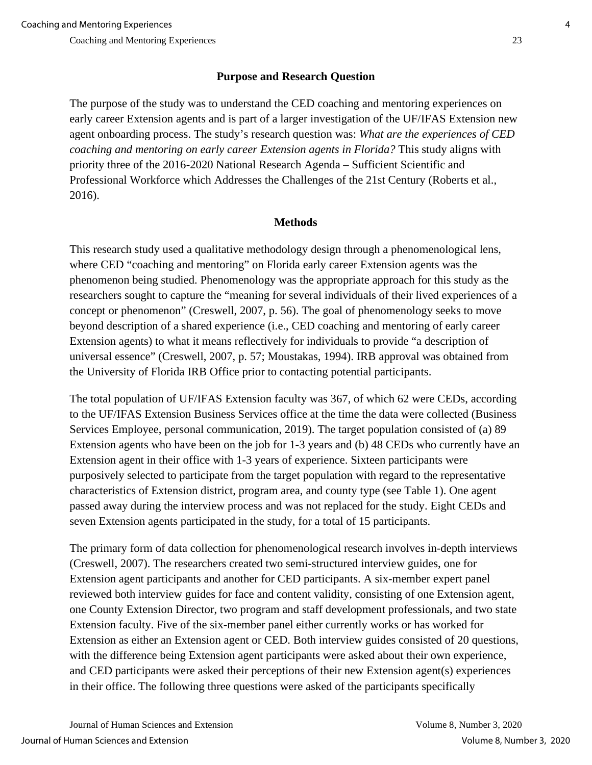## **Purpose and Research Question**

The purpose of the study was to understand the CED coaching and mentoring experiences on early career Extension agents and is part of a larger investigation of the UF/IFAS Extension new agent onboarding process. The study's research question was: *What are the experiences of CED coaching and mentoring on early career Extension agents in Florida?* This study aligns with priority three of the 2016-2020 National Research Agenda – Sufficient Scientific and Professional Workforce which Addresses the Challenges of the 21st Century (Roberts et al., 2016).

## **Methods**

This research study used a qualitative methodology design through a phenomenological lens, where CED "coaching and mentoring" on Florida early career Extension agents was the phenomenon being studied. Phenomenology was the appropriate approach for this study as the researchers sought to capture the "meaning for several individuals of their lived experiences of a concept or phenomenon" (Creswell, 2007, p. 56). The goal of phenomenology seeks to move beyond description of a shared experience (i.e., CED coaching and mentoring of early career Extension agents) to what it means reflectively for individuals to provide "a description of universal essence" (Creswell, 2007, p. 57; Moustakas, 1994). IRB approval was obtained from the University of Florida IRB Office prior to contacting potential participants.

The total population of UF/IFAS Extension faculty was 367, of which 62 were CEDs, according to the UF/IFAS Extension Business Services office at the time the data were collected (Business Services Employee, personal communication, 2019). The target population consisted of (a) 89 Extension agents who have been on the job for 1-3 years and (b) 48 CEDs who currently have an Extension agent in their office with 1-3 years of experience. Sixteen participants were purposively selected to participate from the target population with regard to the representative characteristics of Extension district, program area, and county type (see Table 1). One agent passed away during the interview process and was not replaced for the study. Eight CEDs and seven Extension agents participated in the study, for a total of 15 participants.

The primary form of data collection for phenomenological research involves in-depth interviews (Creswell, 2007). The researchers created two semi-structured interview guides, one for Extension agent participants and another for CED participants. A six-member expert panel reviewed both interview guides for face and content validity, consisting of one Extension agent, one County Extension Director, two program and staff development professionals, and two state Extension faculty. Five of the six-member panel either currently works or has worked for Extension as either an Extension agent or CED. Both interview guides consisted of 20 questions, with the difference being Extension agent participants were asked about their own experience, and CED participants were asked their perceptions of their new Extension agent(s) experiences in their office. The following three questions were asked of the participants specifically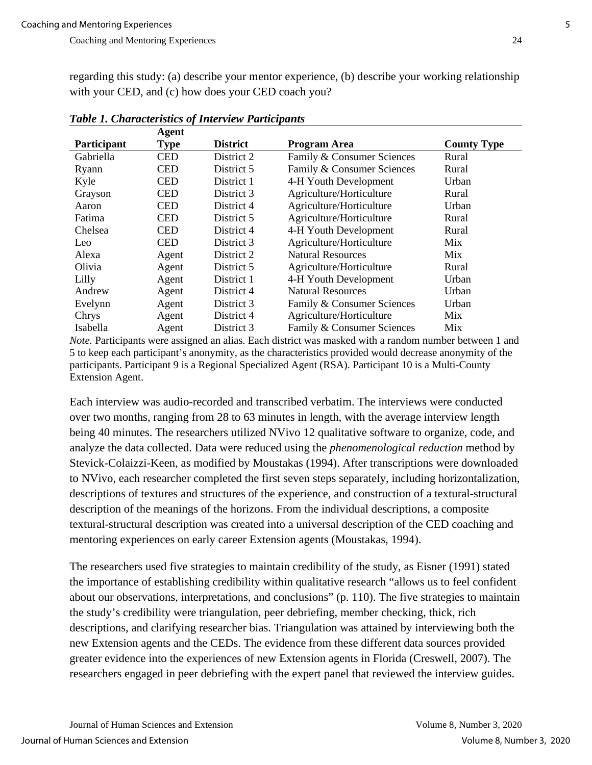regarding this study: (a) describe your mentor experience, (b) describe your working relationship with your CED, and (c) how does your CED coach you?

|                    | Agent      |                 |                            |                    |
|--------------------|------------|-----------------|----------------------------|--------------------|
| <b>Participant</b> | Type       | <b>District</b> | <b>Program Area</b>        | <b>County Type</b> |
| Gabriella          | <b>CED</b> | District 2      | Family & Consumer Sciences | Rural              |
| Ryann              | <b>CED</b> | District 5      | Family & Consumer Sciences | Rural              |
| Kyle               | <b>CED</b> | District 1      | 4-H Youth Development      | Urban              |
| Grayson            | <b>CED</b> | District 3      | Agriculture/Horticulture   | Rural              |
| Aaron              | <b>CED</b> | District 4      | Agriculture/Horticulture   | Urban              |
| Fatima             | <b>CED</b> | District 5      | Agriculture/Horticulture   | Rural              |
| Chelsea            | <b>CED</b> | District 4      | 4-H Youth Development      | Rural              |
| Leo                | <b>CED</b> | District 3      | Agriculture/Horticulture   | Mix                |
| Alexa              | Agent      | District 2      | <b>Natural Resources</b>   | Mix                |
| Olivia             | Agent      | District 5      | Agriculture/Horticulture   | Rural              |
| Lilly              | Agent      | District 1      | 4-H Youth Development      | Urban              |
| Andrew             | Agent      | District 4      | <b>Natural Resources</b>   | Urban              |
| Evelynn            | Agent      | District 3      | Family & Consumer Sciences | Urban              |
| Chrys              | Agent      | District 4      | Agriculture/Horticulture   | Mix                |
| Isabella           | Agent      | District 3      | Family & Consumer Sciences | Mix                |

*Table 1. Characteristics of Interview Participants*

*Note*. Participants were assigned an alias. Each district was masked with a random number between 1 and 5 to keep each participant's anonymity, as the characteristics provided would decrease anonymity of the participants. Participant 9 is a Regional Specialized Agent (RSA). Participant 10 is a Multi-County Extension Agent.

Each interview was audio-recorded and transcribed verbatim. The interviews were conducted over two months, ranging from 28 to 63 minutes in length, with the average interview length being 40 minutes. The researchers utilized NVivo 12 qualitative software to organize, code, and analyze the data collected. Data were reduced using the *phenomenological reduction* method by Stevick-Colaizzi-Keen, as modified by Moustakas (1994). After transcriptions were downloaded to NVivo, each researcher completed the first seven steps separately, including horizontalization, descriptions of textures and structures of the experience, and construction of a textural-structural description of the meanings of the horizons. From the individual descriptions, a composite textural-structural description was created into a universal description of the CED coaching and mentoring experiences on early career Extension agents (Moustakas, 1994).

The researchers used five strategies to maintain credibility of the study, as Eisner (1991) stated the importance of establishing credibility within qualitative research "allows us to feel confident about our observations, interpretations, and conclusions" (p. 110). The five strategies to maintain the study's credibility were triangulation, peer debriefing, member checking, thick, rich descriptions, and clarifying researcher bias. Triangulation was attained by interviewing both the new Extension agents and the CEDs. The evidence from these different data sources provided greater evidence into the experiences of new Extension agents in Florida (Creswell, 2007). The researchers engaged in peer debriefing with the expert panel that reviewed the interview guides.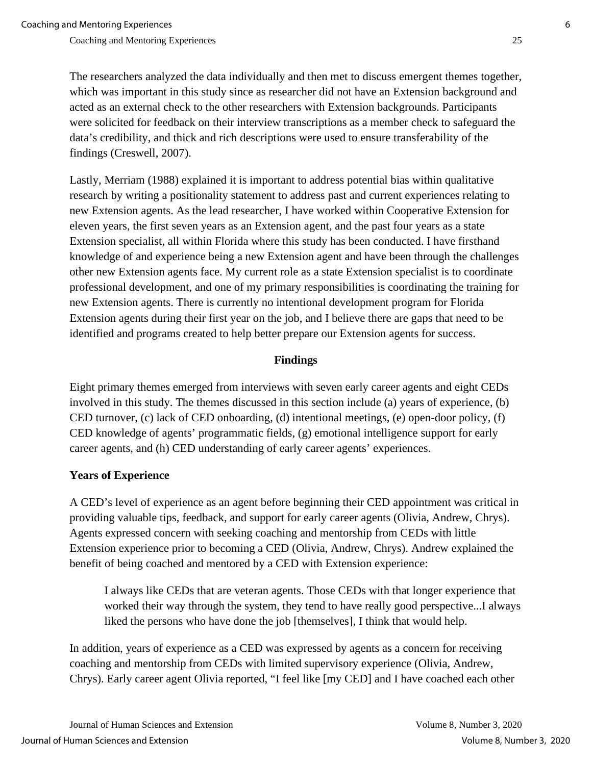The researchers analyzed the data individually and then met to discuss emergent themes together, which was important in this study since as researcher did not have an Extension background and acted as an external check to the other researchers with Extension backgrounds. Participants were solicited for feedback on their interview transcriptions as a member check to safeguard the data's credibility, and thick and rich descriptions were used to ensure transferability of the findings (Creswell, 2007).

Lastly, Merriam (1988) explained it is important to address potential bias within qualitative research by writing a positionality statement to address past and current experiences relating to new Extension agents. As the lead researcher, I have worked within Cooperative Extension for eleven years, the first seven years as an Extension agent, and the past four years as a state Extension specialist, all within Florida where this study has been conducted. I have firsthand knowledge of and experience being a new Extension agent and have been through the challenges other new Extension agents face. My current role as a state Extension specialist is to coordinate professional development, and one of my primary responsibilities is coordinating the training for new Extension agents. There is currently no intentional development program for Florida Extension agents during their first year on the job, and I believe there are gaps that need to be identified and programs created to help better prepare our Extension agents for success.

## **Findings**

Eight primary themes emerged from interviews with seven early career agents and eight CEDs involved in this study. The themes discussed in this section include (a) years of experience, (b) CED turnover, (c) lack of CED onboarding, (d) intentional meetings, (e) open-door policy, (f) CED knowledge of agents' programmatic fields, (g) emotional intelligence support for early career agents, and (h) CED understanding of early career agents' experiences.

## **Years of Experience**

A CED's level of experience as an agent before beginning their CED appointment was critical in providing valuable tips, feedback, and support for early career agents (Olivia, Andrew, Chrys). Agents expressed concern with seeking coaching and mentorship from CEDs with little Extension experience prior to becoming a CED (Olivia, Andrew, Chrys). Andrew explained the benefit of being coached and mentored by a CED with Extension experience:

I always like CEDs that are veteran agents. Those CEDs with that longer experience that worked their way through the system, they tend to have really good perspective...I always liked the persons who have done the job [themselves], I think that would help.

In addition, years of experience as a CED was expressed by agents as a concern for receiving coaching and mentorship from CEDs with limited supervisory experience (Olivia, Andrew, Chrys). Early career agent Olivia reported, "I feel like [my CED] and I have coached each other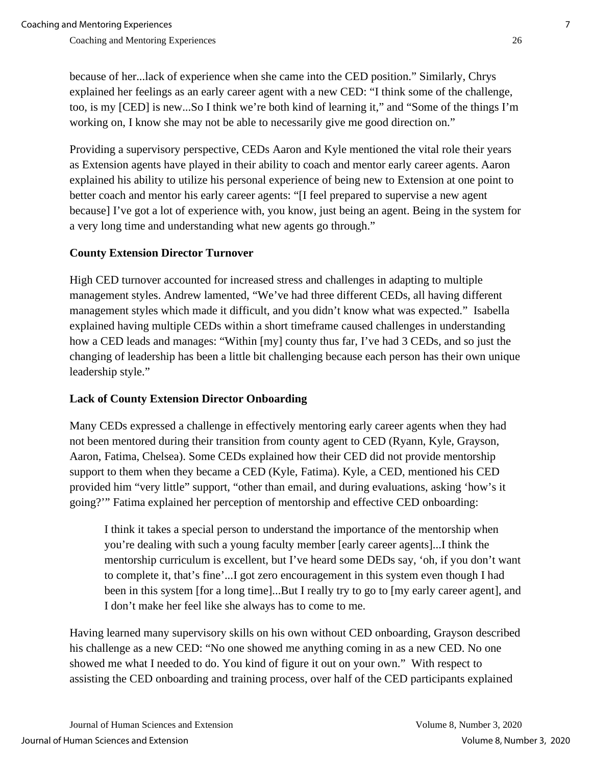because of her...lack of experience when she came into the CED position." Similarly, Chrys explained her feelings as an early career agent with a new CED: "I think some of the challenge, too, is my [CED] is new...So I think we're both kind of learning it," and "Some of the things I'm working on, I know she may not be able to necessarily give me good direction on."

Providing a supervisory perspective, CEDs Aaron and Kyle mentioned the vital role their years as Extension agents have played in their ability to coach and mentor early career agents. Aaron explained his ability to utilize his personal experience of being new to Extension at one point to better coach and mentor his early career agents: "[I feel prepared to supervise a new agent because] I've got a lot of experience with, you know, just being an agent. Being in the system for a very long time and understanding what new agents go through."

## **County Extension Director Turnover**

High CED turnover accounted for increased stress and challenges in adapting to multiple management styles. Andrew lamented, "We've had three different CEDs, all having different management styles which made it difficult, and you didn't know what was expected." Isabella explained having multiple CEDs within a short timeframe caused challenges in understanding how a CED leads and manages: "Within [my] county thus far, I've had 3 CEDs, and so just the changing of leadership has been a little bit challenging because each person has their own unique leadership style."

## **Lack of County Extension Director Onboarding**

Many CEDs expressed a challenge in effectively mentoring early career agents when they had not been mentored during their transition from county agent to CED (Ryann, Kyle, Grayson, Aaron, Fatima, Chelsea). Some CEDs explained how their CED did not provide mentorship support to them when they became a CED (Kyle, Fatima). Kyle, a CED, mentioned his CED provided him "very little" support, "other than email, and during evaluations, asking 'how's it going?'" Fatima explained her perception of mentorship and effective CED onboarding:

I think it takes a special person to understand the importance of the mentorship when you're dealing with such a young faculty member [early career agents]...I think the mentorship curriculum is excellent, but I've heard some DEDs say, 'oh, if you don't want to complete it, that's fine'...I got zero encouragement in this system even though I had been in this system [for a long time]...But I really try to go to [my early career agent], and I don't make her feel like she always has to come to me.

Having learned many supervisory skills on his own without CED onboarding, Grayson described his challenge as a new CED: "No one showed me anything coming in as a new CED. No one showed me what I needed to do. You kind of figure it out on your own." With respect to assisting the CED onboarding and training process, over half of the CED participants explained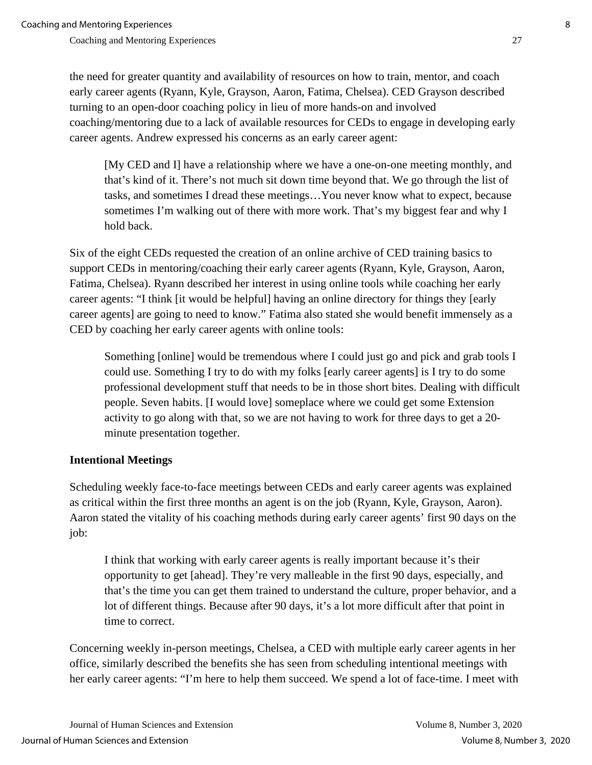the need for greater quantity and availability of resources on how to train, mentor, and coach early career agents (Ryann, Kyle, Grayson, Aaron, Fatima, Chelsea). CED Grayson described turning to an open-door coaching policy in lieu of more hands-on and involved coaching/mentoring due to a lack of available resources for CEDs to engage in developing early career agents. Andrew expressed his concerns as an early career agent:

[My CED and I] have a relationship where we have a one-on-one meeting monthly, and that's kind of it. There's not much sit down time beyond that. We go through the list of tasks, and sometimes I dread these meetings…You never know what to expect, because sometimes I'm walking out of there with more work. That's my biggest fear and why I hold back.

Six of the eight CEDs requested the creation of an online archive of CED training basics to support CEDs in mentoring/coaching their early career agents (Ryann, Kyle, Grayson, Aaron, Fatima, Chelsea). Ryann described her interest in using online tools while coaching her early career agents: "I think [it would be helpful] having an online directory for things they [early career agents] are going to need to know." Fatima also stated she would benefit immensely as a CED by coaching her early career agents with online tools:

Something [online] would be tremendous where I could just go and pick and grab tools I could use. Something I try to do with my folks [early career agents] is I try to do some professional development stuff that needs to be in those short bites. Dealing with difficult people. Seven habits. [I would love] someplace where we could get some Extension activity to go along with that, so we are not having to work for three days to get a 20 minute presentation together.

## **Intentional Meetings**

Scheduling weekly face-to-face meetings between CEDs and early career agents was explained as critical within the first three months an agent is on the job (Ryann, Kyle, Grayson, Aaron). Aaron stated the vitality of his coaching methods during early career agents' first 90 days on the job:

I think that working with early career agents is really important because it's their opportunity to get [ahead]. They're very malleable in the first 90 days, especially, and that's the time you can get them trained to understand the culture, proper behavior, and a lot of different things. Because after 90 days, it's a lot more difficult after that point in time to correct.

Concerning weekly in-person meetings, Chelsea, a CED with multiple early career agents in her office, similarly described the benefits she has seen from scheduling intentional meetings with her early career agents: "I'm here to help them succeed. We spend a lot of face-time. I meet with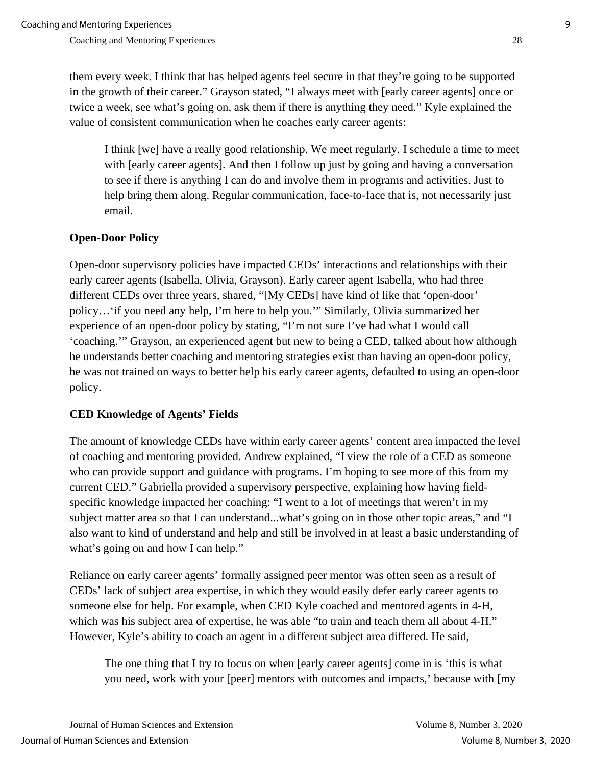them every week. I think that has helped agents feel secure in that they're going to be supported in the growth of their career." Grayson stated, "I always meet with [early career agents] once or twice a week, see what's going on, ask them if there is anything they need." Kyle explained the value of consistent communication when he coaches early career agents:

I think [we] have a really good relationship. We meet regularly. I schedule a time to meet with [early career agents]. And then I follow up just by going and having a conversation to see if there is anything I can do and involve them in programs and activities. Just to help bring them along. Regular communication, face-to-face that is, not necessarily just email.

## **Open-Door Policy**

Open-door supervisory policies have impacted CEDs' interactions and relationships with their early career agents (Isabella, Olivia, Grayson). Early career agent Isabella, who had three different CEDs over three years, shared, "[My CEDs] have kind of like that 'open-door' policy…'if you need any help, I'm here to help you.'" Similarly, Olivia summarized her experience of an open-door policy by stating, "I'm not sure I've had what I would call 'coaching.'" Grayson, an experienced agent but new to being a CED, talked about how although he understands better coaching and mentoring strategies exist than having an open-door policy, he was not trained on ways to better help his early career agents, defaulted to using an open-door policy.

## **CED Knowledge of Agents' Fields**

The amount of knowledge CEDs have within early career agents' content area impacted the level of coaching and mentoring provided. Andrew explained, "I view the role of a CED as someone who can provide support and guidance with programs. I'm hoping to see more of this from my current CED." Gabriella provided a supervisory perspective, explaining how having fieldspecific knowledge impacted her coaching: "I went to a lot of meetings that weren't in my subject matter area so that I can understand...what's going on in those other topic areas," and "I also want to kind of understand and help and still be involved in at least a basic understanding of what's going on and how I can help."

Reliance on early career agents' formally assigned peer mentor was often seen as a result of CEDs' lack of subject area expertise, in which they would easily defer early career agents to someone else for help. For example, when CED Kyle coached and mentored agents in 4-H, which was his subject area of expertise, he was able "to train and teach them all about 4-H." However, Kyle's ability to coach an agent in a different subject area differed. He said,

The one thing that I try to focus on when [early career agents] come in is 'this is what you need, work with your [peer] mentors with outcomes and impacts,' because with [my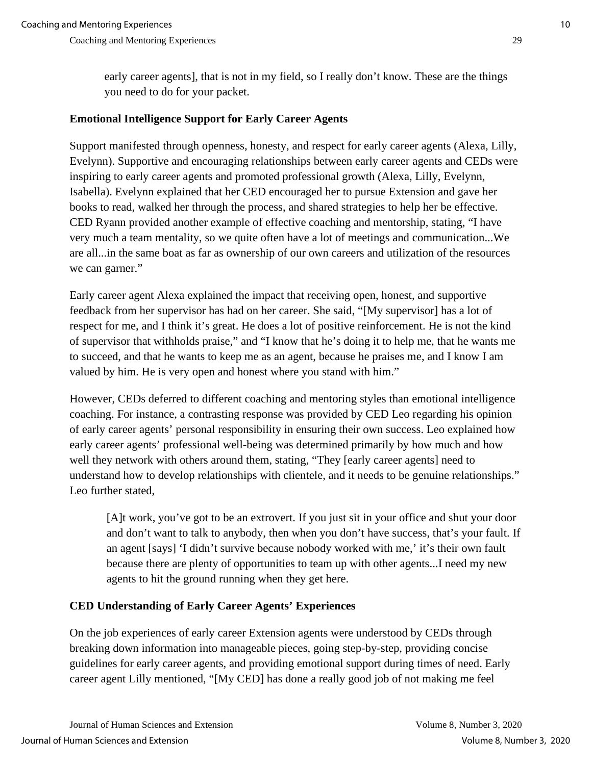early career agents], that is not in my field, so I really don't know. These are the things you need to do for your packet.

## **Emotional Intelligence Support for Early Career Agents**

Support manifested through openness, honesty, and respect for early career agents (Alexa, Lilly, Evelynn). Supportive and encouraging relationships between early career agents and CEDs were inspiring to early career agents and promoted professional growth (Alexa, Lilly, Evelynn, Isabella). Evelynn explained that her CED encouraged her to pursue Extension and gave her books to read, walked her through the process, and shared strategies to help her be effective. CED Ryann provided another example of effective coaching and mentorship, stating, "I have very much a team mentality, so we quite often have a lot of meetings and communication...We are all...in the same boat as far as ownership of our own careers and utilization of the resources we can garner."

Early career agent Alexa explained the impact that receiving open, honest, and supportive feedback from her supervisor has had on her career. She said, "[My supervisor] has a lot of respect for me, and I think it's great. He does a lot of positive reinforcement. He is not the kind of supervisor that withholds praise," and "I know that he's doing it to help me, that he wants me to succeed, and that he wants to keep me as an agent, because he praises me, and I know I am valued by him. He is very open and honest where you stand with him."

However, CEDs deferred to different coaching and mentoring styles than emotional intelligence coaching. For instance, a contrasting response was provided by CED Leo regarding his opinion of early career agents' personal responsibility in ensuring their own success. Leo explained how early career agents' professional well-being was determined primarily by how much and how well they network with others around them, stating, "They [early career agents] need to understand how to develop relationships with clientele, and it needs to be genuine relationships." Leo further stated,

[A]t work, you've got to be an extrovert. If you just sit in your office and shut your door and don't want to talk to anybody, then when you don't have success, that's your fault. If an agent [says] 'I didn't survive because nobody worked with me,' it's their own fault because there are plenty of opportunities to team up with other agents...I need my new agents to hit the ground running when they get here.

## **CED Understanding of Early Career Agents' Experiences**

On the job experiences of early career Extension agents were understood by CEDs through breaking down information into manageable pieces, going step-by-step, providing concise guidelines for early career agents, and providing emotional support during times of need. Early career agent Lilly mentioned, "[My CED] has done a really good job of not making me feel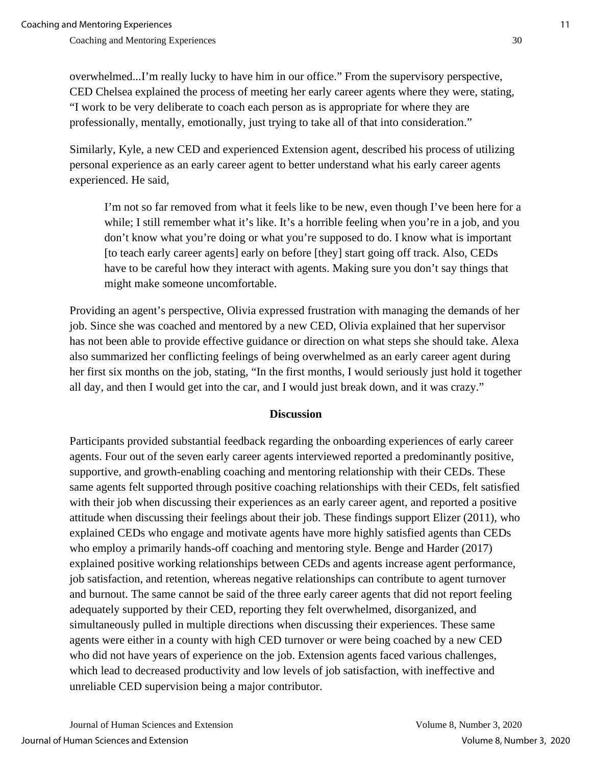overwhelmed...I'm really lucky to have him in our office." From the supervisory perspective, CED Chelsea explained the process of meeting her early career agents where they were, stating, "I work to be very deliberate to coach each person as is appropriate for where they are professionally, mentally, emotionally, just trying to take all of that into consideration."

Similarly, Kyle, a new CED and experienced Extension agent, described his process of utilizing personal experience as an early career agent to better understand what his early career agents experienced. He said,

I'm not so far removed from what it feels like to be new, even though I've been here for a while; I still remember what it's like. It's a horrible feeling when you're in a job, and you don't know what you're doing or what you're supposed to do. I know what is important [to teach early career agents] early on before [they] start going off track. Also, CEDs have to be careful how they interact with agents. Making sure you don't say things that might make someone uncomfortable.

Providing an agent's perspective, Olivia expressed frustration with managing the demands of her job. Since she was coached and mentored by a new CED, Olivia explained that her supervisor has not been able to provide effective guidance or direction on what steps she should take. Alexa also summarized her conflicting feelings of being overwhelmed as an early career agent during her first six months on the job, stating, "In the first months, I would seriously just hold it together all day, and then I would get into the car, and I would just break down, and it was crazy."

## **Discussion**

Participants provided substantial feedback regarding the onboarding experiences of early career agents. Four out of the seven early career agents interviewed reported a predominantly positive, supportive, and growth-enabling coaching and mentoring relationship with their CEDs. These same agents felt supported through positive coaching relationships with their CEDs, felt satisfied with their job when discussing their experiences as an early career agent, and reported a positive attitude when discussing their feelings about their job. These findings support Elizer (2011), who explained CEDs who engage and motivate agents have more highly satisfied agents than CEDs who employ a primarily hands-off coaching and mentoring style. Benge and Harder (2017) explained positive working relationships between CEDs and agents increase agent performance, job satisfaction, and retention, whereas negative relationships can contribute to agent turnover and burnout. The same cannot be said of the three early career agents that did not report feeling adequately supported by their CED, reporting they felt overwhelmed, disorganized, and simultaneously pulled in multiple directions when discussing their experiences. These same agents were either in a county with high CED turnover or were being coached by a new CED who did not have years of experience on the job. Extension agents faced various challenges, which lead to decreased productivity and low levels of job satisfaction, with ineffective and unreliable CED supervision being a major contributor.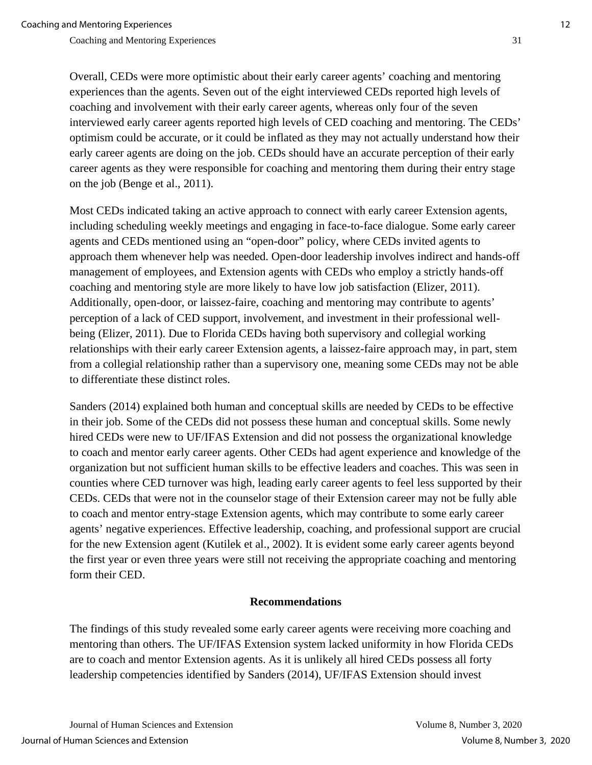Overall, CEDs were more optimistic about their early career agents' coaching and mentoring experiences than the agents. Seven out of the eight interviewed CEDs reported high levels of coaching and involvement with their early career agents, whereas only four of the seven interviewed early career agents reported high levels of CED coaching and mentoring. The CEDs' optimism could be accurate, or it could be inflated as they may not actually understand how their early career agents are doing on the job. CEDs should have an accurate perception of their early career agents as they were responsible for coaching and mentoring them during their entry stage on the job (Benge et al., 2011).

Most CEDs indicated taking an active approach to connect with early career Extension agents, including scheduling weekly meetings and engaging in face-to-face dialogue. Some early career agents and CEDs mentioned using an "open-door" policy, where CEDs invited agents to approach them whenever help was needed. Open-door leadership involves indirect and hands-off management of employees, and Extension agents with CEDs who employ a strictly hands-off coaching and mentoring style are more likely to have low job satisfaction (Elizer, 2011). Additionally, open-door, or laissez-faire, coaching and mentoring may contribute to agents' perception of a lack of CED support, involvement, and investment in their professional wellbeing (Elizer, 2011). Due to Florida CEDs having both supervisory and collegial working relationships with their early career Extension agents, a laissez-faire approach may, in part, stem from a collegial relationship rather than a supervisory one, meaning some CEDs may not be able to differentiate these distinct roles.

Sanders (2014) explained both human and conceptual skills are needed by CEDs to be effective in their job. Some of the CEDs did not possess these human and conceptual skills. Some newly hired CEDs were new to UF/IFAS Extension and did not possess the organizational knowledge to coach and mentor early career agents. Other CEDs had agent experience and knowledge of the organization but not sufficient human skills to be effective leaders and coaches. This was seen in counties where CED turnover was high, leading early career agents to feel less supported by their CEDs. CEDs that were not in the counselor stage of their Extension career may not be fully able to coach and mentor entry-stage Extension agents, which may contribute to some early career agents' negative experiences. Effective leadership, coaching, and professional support are crucial for the new Extension agent (Kutilek et al., 2002). It is evident some early career agents beyond the first year or even three years were still not receiving the appropriate coaching and mentoring form their CED.

## **Recommendations**

The findings of this study revealed some early career agents were receiving more coaching and mentoring than others. The UF/IFAS Extension system lacked uniformity in how Florida CEDs are to coach and mentor Extension agents. As it is unlikely all hired CEDs possess all forty leadership competencies identified by Sanders (2014), UF/IFAS Extension should invest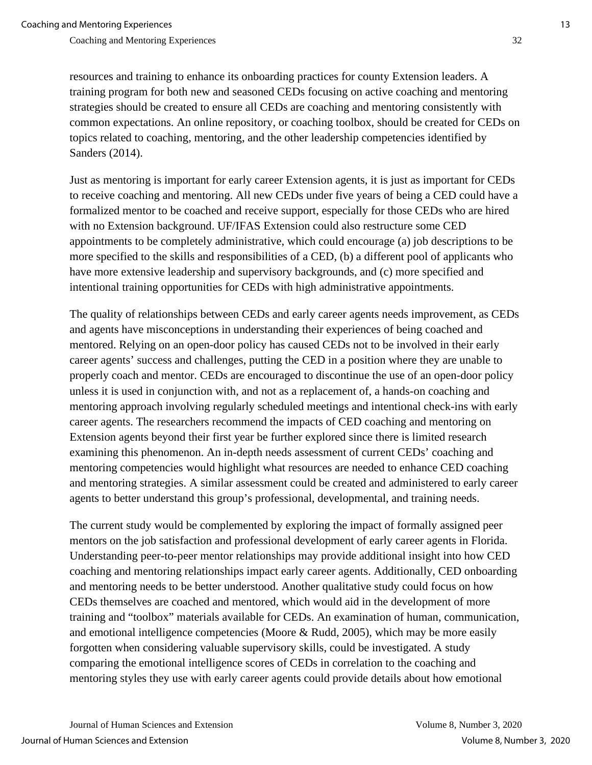resources and training to enhance its onboarding practices for county Extension leaders. A training program for both new and seasoned CEDs focusing on active coaching and mentoring strategies should be created to ensure all CEDs are coaching and mentoring consistently with common expectations. An online repository, or coaching toolbox, should be created for CEDs on topics related to coaching, mentoring, and the other leadership competencies identified by Sanders (2014).

Just as mentoring is important for early career Extension agents, it is just as important for CEDs to receive coaching and mentoring. All new CEDs under five years of being a CED could have a formalized mentor to be coached and receive support, especially for those CEDs who are hired with no Extension background. UF/IFAS Extension could also restructure some CED appointments to be completely administrative, which could encourage (a) job descriptions to be more specified to the skills and responsibilities of a CED, (b) a different pool of applicants who have more extensive leadership and supervisory backgrounds, and (c) more specified and intentional training opportunities for CEDs with high administrative appointments.

The quality of relationships between CEDs and early career agents needs improvement, as CEDs and agents have misconceptions in understanding their experiences of being coached and mentored. Relying on an open-door policy has caused CEDs not to be involved in their early career agents' success and challenges, putting the CED in a position where they are unable to properly coach and mentor. CEDs are encouraged to discontinue the use of an open-door policy unless it is used in conjunction with, and not as a replacement of, a hands-on coaching and mentoring approach involving regularly scheduled meetings and intentional check-ins with early career agents. The researchers recommend the impacts of CED coaching and mentoring on Extension agents beyond their first year be further explored since there is limited research examining this phenomenon. An in-depth needs assessment of current CEDs' coaching and mentoring competencies would highlight what resources are needed to enhance CED coaching and mentoring strategies. A similar assessment could be created and administered to early career agents to better understand this group's professional, developmental, and training needs.

The current study would be complemented by exploring the impact of formally assigned peer mentors on the job satisfaction and professional development of early career agents in Florida. Understanding peer-to-peer mentor relationships may provide additional insight into how CED coaching and mentoring relationships impact early career agents. Additionally, CED onboarding and mentoring needs to be better understood. Another qualitative study could focus on how CEDs themselves are coached and mentored, which would aid in the development of more training and "toolbox" materials available for CEDs. An examination of human, communication, and emotional intelligence competencies (Moore & Rudd, 2005), which may be more easily forgotten when considering valuable supervisory skills, could be investigated. A study comparing the emotional intelligence scores of CEDs in correlation to the coaching and mentoring styles they use with early career agents could provide details about how emotional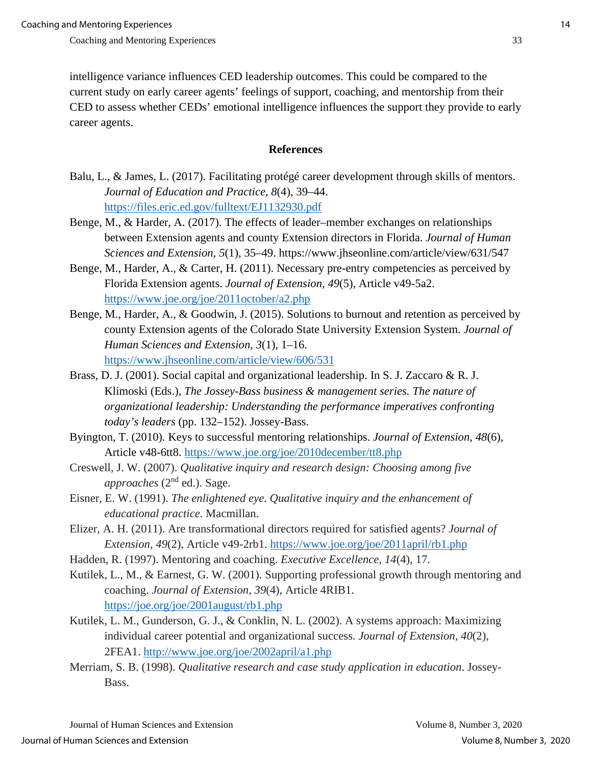intelligence variance influences CED leadership outcomes. This could be compared to the current study on early career agents' feelings of support, coaching, and mentorship from their CED to assess whether CEDs' emotional intelligence influences the support they provide to early career agents.

#### **References**

- Balu, L., & James, L. (2017). Facilitating protégé career development through skills of mentors. *Journal of Education and Practice, 8*(4), 39–44. <https://files.eric.ed.gov/fulltext/EJ1132930.pdf>
- Benge, M., & Harder, A. (2017). The effects of leader–member exchanges on relationships between Extension agents and county Extension directors in Florida. *Journal of Human Sciences and Extension, 5*(1), 35–49. https://www.jhseonline.com/article/view/631/547
- Benge, M., Harder, A., & Carter, H. (2011). Necessary pre-entry competencies as perceived by Florida Extension agents. *Journal of Extension, 49*(5), Article v49-5a2. <https://www.joe.org/joe/2011october/a2.php>
- Benge, M., Harder, A., & Goodwin, J. (2015). Solutions to burnout and retention as perceived by county Extension agents of the Colorado State University Extension System. *Journal of Human Sciences and Extension, 3*(1), 1–16. <https://www.jhseonline.com/article/view/606/531>
- Brass, D. J. (2001). Social capital and organizational leadership. In S. J. Zaccaro & R. J. Klimoski (Eds.), *The Jossey-Bass business & management series. The nature of organizational leadership: Understanding the performance imperatives confronting today's leaders* (pp. 132–152). Jossey-Bass.
- Byington, T. (2010). Keys to successful mentoring relationships. *Journal of Extension, 48*(6), Article v48-6tt8.<https://www.joe.org/joe/2010december/tt8.php>
- Creswell, J. W. (2007). *Qualitative inquiry and research design: Choosing among five approaches* (2nd ed.). Sage.
- Eisner, E. W. (1991). *The enlightened eye. Qualitative inquiry and the enhancement of educational practice*. Macmillan.
- Elizer, A. H. (2011). Are transformational directors required for satisfied agents? *Journal of Extension, 49*(2), Article v49-2rb1.<https://www.joe.org/joe/2011april/rb1.php>
- Hadden, R. (1997). Mentoring and coaching. *Executive Excellence, 14*(4), 17.
- Kutilek, L., M., & Earnest, G. W. (2001). Supporting professional growth through mentoring and coaching. *Journal of Extension, 39*(4), Article 4RIB1. <https://joe.org/joe/2001august/rb1.php>
- Kutilek, L. M., Gunderson, G. J., & Conklin, N. L. (2002). A systems approach: Maximizing individual career potential and organizational success. *Journal of Extension, 40*(2), 2FEA1.<http://www.joe.org/joe/2002april/a1.php>
- Merriam, S. B. (1998). *Qualitative research and case study application in education*. Jossey-Bass.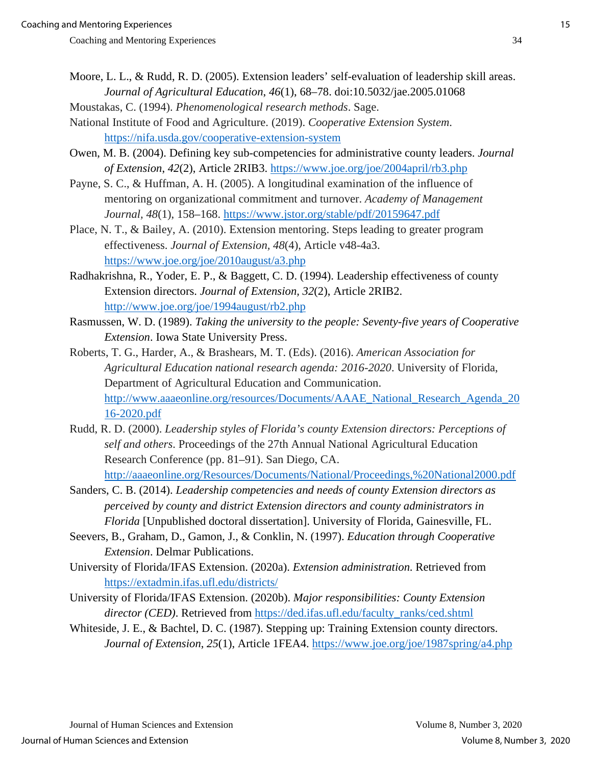- Moore, L. L., & Rudd, R. D. (2005). Extension leaders' self-evaluation of leadership skill areas. *Journal of Agricultural Education*, *46*(1), 68–78. doi:10.5032/jae.2005.01068
- Moustakas, C. (1994). *Phenomenological research methods*. Sage. National Institute of Food and Agriculture. (2019). *Cooperative Extension System*.

<https://nifa.usda.gov/cooperative-extension-system>

- Owen, M. B. (2004). Defining key sub-competencies for administrative county leaders. *Journal of Extension*, *42*(2), Article 2RIB3.<https://www.joe.org/joe/2004april/rb3.php>
- Payne, S. C., & Huffman, A. H. (2005). A longitudinal examination of the influence of mentoring on organizational commitment and turnover. *Academy of Management Journal, 48*(1), 158–168.<https://www.jstor.org/stable/pdf/20159647.pdf>
- Place, N. T., & Bailey, A. (2010). Extension mentoring. Steps leading to greater program effectiveness. *Journal of Extension, 48*(4), Article v48-4a3. <https://www.joe.org/joe/2010august/a3.php>
- Radhakrishna, R., Yoder, E. P., & Baggett, C. D. (1994). Leadership effectiveness of county Extension directors. *Journal of Extension, 32*(2), Article 2RIB2. <http://www.joe.org/joe/1994august/rb2.php>
- Rasmussen, W. D. (1989). *Taking the university to the people: Seventy-five years of Cooperative Extension*. Iowa State University Press.
- Roberts, T. G., Harder, A., & Brashears, M. T. (Eds). (2016). *American Association for Agricultural Education national research agenda: 2016-2020*. University of Florida, Department of Agricultural Education and Communication. [http://www.aaaeonline.org/resources/Documents/AAAE\\_National\\_Research\\_Agenda\\_20](http://www.aaaeonline.org/resources/Documents/AAAE_National_Research_Agenda_2016-2020.pdf) [16-2020.pdf](http://www.aaaeonline.org/resources/Documents/AAAE_National_Research_Agenda_2016-2020.pdf)
- Rudd, R. D. (2000). *Leadership styles of Florida's county Extension directors: Perceptions of self and others*. Proceedings of the 27th Annual National Agricultural Education Research Conference (pp. 81–91). San Diego, CA. <http://aaaeonline.org/Resources/Documents/National/Proceedings,%20National2000.pdf>
- Sanders, C. B. (2014). *Leadership competencies and needs of county Extension directors as perceived by county and district Extension directors and county administrators in Florida* [Unpublished doctoral dissertation]. University of Florida, Gainesville, FL.
- Seevers, B., Graham, D., Gamon, J., & Conklin, N. (1997). *Education through Cooperative Extension*. Delmar Publications.
- University of Florida/IFAS Extension. (2020a). *Extension administration*. Retrieved from <https://extadmin.ifas.ufl.edu/districts/>
- University of Florida/IFAS Extension. (2020b). *Major responsibilities: County Extension director (CED)*. Retrieved from [https://ded.ifas.ufl.edu/faculty\\_ranks/ced.shtml](https://ded.ifas.ufl.edu/faculty_ranks/ced.shtml)
- Whiteside, J. E., & Bachtel, D. C. (1987). Stepping up: Training Extension county directors. *Journal of Extension*, *25*(1), Article 1FEA4.<https://www.joe.org/joe/1987spring/a4.php>